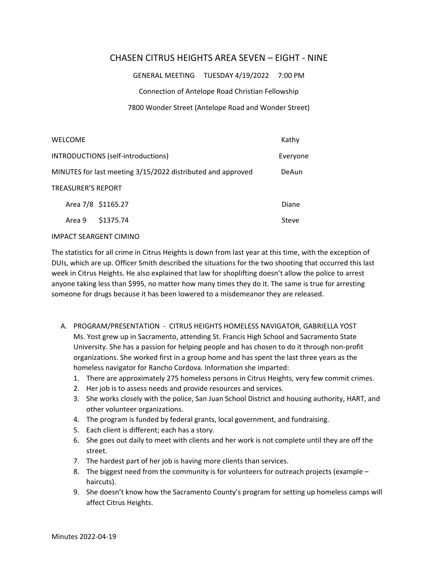## CHASEN CITRUS HEIGHTS AREA SEVEN – EIGHT ‐ NINE

GENERAL MEETING TUESDAY 4/19/2022 7:00 PM

Connection of Antelope Road Christian Fellowship

## 7800 Wonder Street (Antelope Road and Wonder Street)

| <b>WELCOME</b>                                              |                    | Kathy    |
|-------------------------------------------------------------|--------------------|----------|
| INTRODUCTIONS (self-introductions)                          |                    | Everyone |
| MINUTES for last meeting 3/15/2022 distributed and approved |                    | DeAun    |
| <b>TREASURER'S REPORT</b>                                   |                    |          |
|                                                             | Area 7/8 \$1165.27 | Diane    |
| Area 9                                                      | \$1375.74          | Steve    |
|                                                             |                    |          |

## IMPACT SEARGENT CIMINO

The statistics for all crime in Citrus Heights is down from last year at this time, with the exception of DUIs, which are up. Officer Smith described the situations for the two shooting that occurred this last week in Citrus Heights. He also explained that law for shoplifting doesn't allow the police to arrest anyone taking less than \$995, no matter how many times they do it. The same is true for arresting someone for drugs because it has been lowered to a misdemeanor they are released.

- A. PROGRAM/PRESENTATION ‐ CITRUS HEIGHTS HOMELESS NAVIGATOR, GABRIELLA YOST Ms. Yost grew up in Sacramento, attending St. Francis High School and Sacramento State University. She has a passion for helping people and has chosen to do it through non‐profit organizations. She worked first in a group home and has spent the last three years as the homeless navigator for Rancho Cordova. Information she imparted:
	- 1. There are approximately 275 homeless persons in Citrus Heights, very few commit crimes.
	- 2. Her job is to assess needs and provide resources and services.
	- 3. She works closely with the police, San Juan School District and housing authority, HART, and other volunteer organizations.
	- 4. The program is funded by federal grants, local government, and fundraising.
	- 5. Each client is different; each has a story.
	- 6. She goes out daily to meet with clients and her work is not complete until they are off the street.
	- 7. The hardest part of her job is having more clients than services.
	- 8. The biggest need from the community is for volunteers for outreach projects (example haircuts).
	- 9. She doesn't know how the Sacramento County's program for setting up homeless camps will affect Citrus Heights.